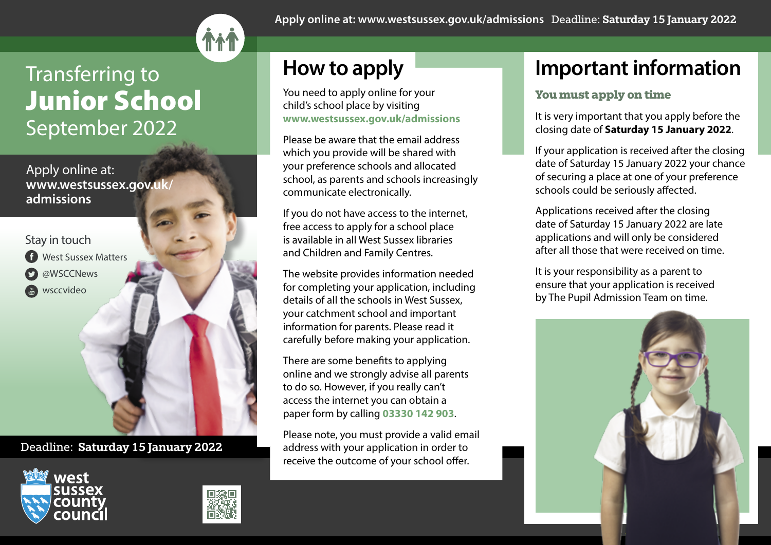

# Transferring to Junior School September 2022

Apply online at: **www.westsussex.gov.uk/ admissions** 

Stay in touch

- **C** West Sussex Matters
- @WSCCNews
- wsccvideo

Deadline: Saturday 15 January 2022





**Apply online at: www.westsussex.gov.uk/admissions** Deadline: Saturday 15 January 2022

# **How to apply**

You need to apply online for your child's school place by visiting **www.westsussex.gov.uk/admissions**

Please be aware that the email address which you provide will be shared with your preference schools and allocated school, as parents and schools increasingly communicate electronically.

If you do not have access to the internet, free access to apply for a school place is available in all West Sussex libraries and Children and Family Centres.

The website provides information needed for completing your application, including details of all the schools in West Sussex, your catchment school and important information for parents. Please read it carefully before making your application.

There are some benefits to applying online and we strongly advise all parents to do so. However, if you really can't access the internet you can obtain a paper form by calling **03330 142 903**.

Please note, you must provide a valid email address with your application in order to receive the outcome of your school offer.

### **Important information**

### **You must apply on time**

It is very important that you apply before the closing date of **Saturday 15 January 2022**.

If your application is received after the closing date of Saturday 15 January 2022 your chance of securing a place at one of your preference schools could be seriously affected.

Applications received after the closing date of Saturday 15 January 2022 are late applications and will only be considered after all those that were received on time.

It is your responsibility as a parent to ensure that your application is received by The Pupil Admission Team on time.